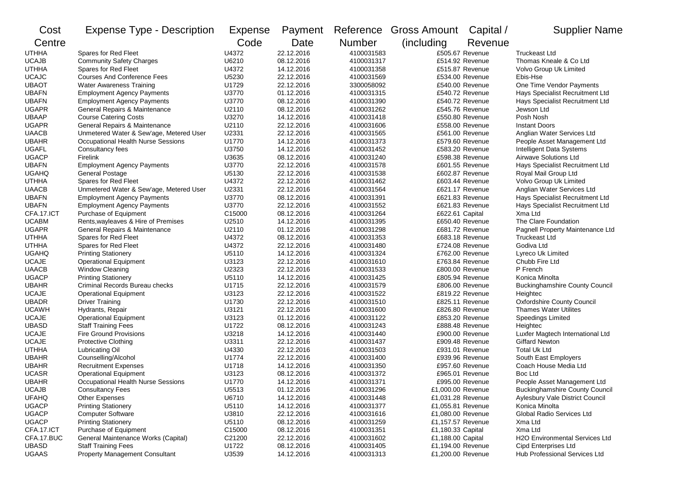| Cost         | <b>Expense Type - Description</b>       | <b>Expense</b> | Payment    |            | Reference Gross Amount | Capital /       | <b>Supplier Name</b>                   |
|--------------|-----------------------------------------|----------------|------------|------------|------------------------|-----------------|----------------------------------------|
| Centre       |                                         | Code           | Date       | Number     | (including             | Revenue         |                                        |
| <b>UTHHA</b> | Spares for Red Fleet                    | U4372          | 22.12.2016 | 4100031583 |                        | £505.67 Revenue | <b>Truckeast Ltd</b>                   |
| <b>UCAJB</b> | <b>Community Safety Charges</b>         | U6210          | 08.12.2016 | 4100031317 |                        | £514.92 Revenue | Thomas Kneale & Co Ltd                 |
| <b>UTHHA</b> | Spares for Red Fleet                    | U4372          | 14.12.2016 | 4100031358 |                        | £515.87 Revenue | Volvo Group Uk Limited                 |
| <b>UCAJC</b> | <b>Courses And Conference Fees</b>      | U5230          | 22.12.2016 | 4100031569 |                        | £534.00 Revenue | Ebis-Hse                               |
| <b>UBAOT</b> | <b>Water Awareness Training</b>         | U1729          | 22.12.2016 | 3300058092 |                        | £540.00 Revenue | One Time Vendor Payments               |
| <b>UBAFN</b> | <b>Employment Agency Payments</b>       | U3770          | 01.12.2016 | 4100031315 |                        | £540.72 Revenue | Hays Specialist Recruitment Ltd        |
| <b>UBAFN</b> | <b>Employment Agency Payments</b>       | U3770          | 08.12.2016 | 4100031390 |                        | £540.72 Revenue | Hays Specialist Recruitment Ltd        |
| <b>UGAPR</b> | General Repairs & Maintenance           | U2110          | 08.12.2016 | 4100031262 |                        | £545.76 Revenue | Jewson Ltd                             |
| <b>UBAAP</b> | <b>Course Catering Costs</b>            | U3270          | 14.12.2016 | 4100031418 |                        | £550.80 Revenue | Posh Nosh                              |
| <b>UGAPR</b> | General Repairs & Maintenance           | U2110          | 22.12.2016 | 4100031606 |                        | £558.00 Revenue | <b>Instant Doors</b>                   |
| <b>UAACB</b> | Unmetered Water & Sew'age, Metered User | U2331          | 22.12.2016 | 4100031565 |                        | £561.00 Revenue | Anglian Water Services Ltd             |
| <b>UBAHR</b> | Occupational Health Nurse Sessions      | U1770          | 14.12.2016 | 4100031373 |                        | £579.60 Revenue | People Asset Management Ltd            |
| <b>UGAFL</b> | Consultancy fees                        | U3750          | 14.12.2016 | 4100031452 |                        | £583.20 Revenue | Intelligent Data Systems               |
| <b>UGACP</b> | Firelink                                | U3635          | 08.12.2016 | 4100031240 |                        | £598.38 Revenue | <b>Airwave Solutions Ltd</b>           |
| <b>UBAFN</b> | <b>Employment Agency Payments</b>       | U3770          | 22.12.2016 | 4100031578 |                        | £601.55 Revenue | Hays Specialist Recruitment Ltd        |
| <b>UGAHQ</b> | <b>General Postage</b>                  | U5130          | 22.12.2016 | 4100031538 |                        | £602.87 Revenue | Royal Mail Group Ltd                   |
| <b>UTHHA</b> | Spares for Red Fleet                    | U4372          | 22.12.2016 | 4100031462 |                        | £603.44 Revenue | Volvo Group Uk Limited                 |
| <b>UAACB</b> | Unmetered Water & Sew'age, Metered User | U2331          | 22.12.2016 | 4100031564 |                        | £621.17 Revenue | Anglian Water Services Ltd             |
| <b>UBAFN</b> | <b>Employment Agency Payments</b>       | U3770          | 08.12.2016 | 4100031391 |                        | £621.83 Revenue | Hays Specialist Recruitment Ltd        |
| <b>UBAFN</b> | <b>Employment Agency Payments</b>       | U3770          | 22.12.2016 | 4100031552 |                        | £621.83 Revenue | Hays Specialist Recruitment Ltd        |
| CFA.17.ICT   | Purchase of Equipment                   | C15000         | 08.12.2016 | 4100031264 | £622.61 Capital        |                 | Xma Ltd                                |
| <b>UCABM</b> | Rents, wayleaves & Hire of Premises     | U2510          | 14.12.2016 | 4100031395 |                        | £650.40 Revenue | The Clare Foundation                   |
| <b>UGAPR</b> | General Repairs & Maintenance           | U2110          | 01.12.2016 | 4100031298 |                        | £681.72 Revenue | Pagnell Property Maintenance Ltd       |
| <b>UTHHA</b> | Spares for Red Fleet                    | U4372          | 08.12.2016 | 4100031353 |                        | £683.18 Revenue | Truckeast Ltd                          |
| <b>UTHHA</b> | Spares for Red Fleet                    | U4372          | 22.12.2016 | 4100031480 |                        | £724.08 Revenue | Godiva Ltd                             |
| <b>UGAHQ</b> | <b>Printing Stationery</b>              | U5110          | 14.12.2016 | 4100031324 |                        | £762.00 Revenue | Lyreco Uk Limited                      |
| <b>UCAJE</b> | <b>Operational Equipment</b>            | U3123          | 22.12.2016 | 4100031610 |                        | £763.84 Revenue | Chubb Fire Ltd                         |
| <b>UAACB</b> | <b>Window Cleaning</b>                  | U2323          | 22.12.2016 | 4100031533 |                        | £800.00 Revenue | P French                               |
| <b>UGACP</b> | <b>Printing Stationery</b>              | U5110          | 14.12.2016 | 4100031425 |                        | £805.94 Revenue | Konica Minolta                         |
| <b>UBAHR</b> | Criminal Records Bureau checks          | U1715          | 22.12.2016 | 4100031579 |                        | £806.00 Revenue | <b>Buckinghamshire County Council</b>  |
| <b>UCAJE</b> | <b>Operational Equipment</b>            | U3123          | 22.12.2016 | 4100031522 |                        | £819.22 Revenue | Heightec                               |
| <b>UBADR</b> | <b>Driver Training</b>                  | U1730          | 22.12.2016 | 4100031510 |                        | £825.11 Revenue | <b>Oxfordshire County Council</b>      |
| <b>UCAWH</b> | Hydrants, Repair                        | U3121          | 22.12.2016 | 4100031600 |                        | £826.80 Revenue | <b>Thames Water Utilites</b>           |
| <b>UCAJE</b> | <b>Operational Equipment</b>            | U3123          | 01.12.2016 | 4100031122 |                        | £853.20 Revenue | Speedings Limited                      |
| <b>UBASD</b> | <b>Staff Training Fees</b>              | U1722          | 08.12.2016 | 4100031243 |                        | £888.48 Revenue | Heightec                               |
| <b>UCAJE</b> | <b>Fire Ground Provisions</b>           | U3218          | 14.12.2016 | 4100031440 |                        | £900.00 Revenue | Luxfer Magtech International Ltd       |
| <b>UCAJE</b> | <b>Protective Clothing</b>              | U3311          | 22.12.2016 | 4100031437 |                        | £909.48 Revenue | <b>Giffard Newton</b>                  |
| <b>UTHHA</b> | Lubricating Oil                         | U4330          | 22.12.2016 | 4100031503 |                        | £931.01 Revenue | <b>Total Uk Ltd</b>                    |
| <b>UBAHR</b> | Counselling/Alcohol                     | U1774          | 22.12.2016 | 4100031400 |                        | £939.96 Revenue | South East Employers                   |
| <b>UBAHR</b> | <b>Recruitment Expenses</b>             | U1718          | 14.12.2016 | 4100031350 |                        | £957.60 Revenue | Coach House Media Ltd                  |
| <b>UCASR</b> | <b>Operational Equipment</b>            | U3123          | 08.12.2016 | 4100031372 |                        | £965.01 Revenue | <b>Boc Ltd</b>                         |
| <b>UBAHR</b> | Occupational Health Nurse Sessions      | U1770          | 14.12.2016 | 4100031371 |                        | £995.00 Revenue | People Asset Management Ltd            |
| <b>UCAJB</b> | <b>Consultancy Fees</b>                 | U5513          | 01.12.2016 | 4100031296 | £1,000.00 Revenue      |                 | <b>Buckinghamshire County Council</b>  |
| <b>UFAHQ</b> | Other Expenses                          | U6710          | 14.12.2016 | 4100031448 | £1,031.28 Revenue      |                 | <b>Aylesbury Vale District Council</b> |
| <b>UGACP</b> | <b>Printing Stationery</b>              | U5110          | 14.12.2016 | 4100031377 | £1,055.81 Revenue      |                 | Konica Minolta                         |
| <b>UGACP</b> | <b>Computer Software</b>                | U3810          | 22.12.2016 | 4100031616 | £1,080.00 Revenue      |                 | Global Radio Services Ltd              |
| <b>UGACP</b> | <b>Printing Stationery</b>              | U5110          | 08.12.2016 | 4100031259 | £1,157.57 Revenue      |                 | Xma Ltd                                |
| CFA.17.ICT   | Purchase of Equipment                   | C15000         | 08.12.2016 | 4100031351 | £1,180.33 Capital      |                 | Xma Ltd                                |
| CFA.17.BUC   | General Maintenance Works (Capital)     | C21200         | 22.12.2016 | 4100031602 | £1,188.00 Capital      |                 | <b>H2O Environmental Services Ltd</b>  |
| <b>UBASD</b> | <b>Staff Training Fees</b>              | U1722          | 08.12.2016 | 4100031405 | £1,194.00 Revenue      |                 | Cipd Enterprises Ltd                   |
| UGAAS        | <b>Property Management Consultant</b>   | U3539          | 14.12.2016 | 4100031313 | £1,200.00 Revenue      |                 | Hub Professional Services Ltd          |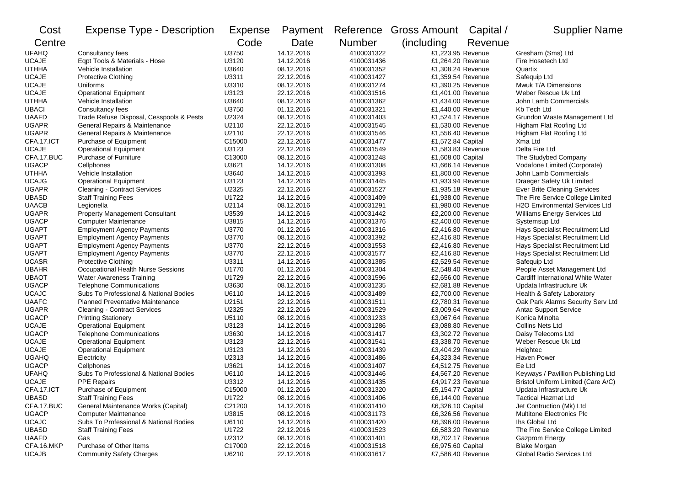| Cost         | <b>Expense Type - Description</b>        | Expense | Payment    |               | Reference Gross Amount | Capital / | <b>Supplier Name</b>                  |
|--------------|------------------------------------------|---------|------------|---------------|------------------------|-----------|---------------------------------------|
| Centre       |                                          | Code    | Date       | <b>Number</b> | (including)            | Revenue   |                                       |
| <b>UFAHQ</b> | Consultancy fees                         | U3750   | 14.12.2016 | 4100031322    | £1,223.95 Revenue      |           | Gresham (Sms) Ltd                     |
| <b>UCAJE</b> | Eqpt Tools & Materials - Hose            | U3120   | 14.12.2016 | 4100031436    | £1,264.20 Revenue      |           | Fire Hosetech Ltd                     |
| <b>UTHHA</b> | Vehicle Installation                     | U3640   | 08.12.2016 | 4100031352    | £1,308.24 Revenue      |           | Quartix                               |
| <b>UCAJE</b> | Protective Clothing                      | U3311   | 22.12.2016 | 4100031427    | £1,359.54 Revenue      |           | Safequip Ltd                          |
| <b>UCAJE</b> | Uniforms                                 | U3310   | 08.12.2016 | 4100031274    | £1,390.25 Revenue      |           | Mwuk T/A Dimensions                   |
| <b>UCAJE</b> | <b>Operational Equipment</b>             | U3123   | 22.12.2016 | 4100031516    | £1,401.00 Revenue      |           | Weber Rescue Uk Ltd                   |
| <b>UTHHA</b> | Vehicle Installation                     | U3640   | 08.12.2016 | 4100031362    | £1,434.00 Revenue      |           | John Lamb Commercials                 |
| <b>UBACI</b> | Consultancy fees                         | U3750   | 01.12.2016 | 4100031321    | £1,440.00 Revenue      |           | Kb Tech Ltd                           |
| <b>UAAFD</b> | Trade Refuse Disposal, Cesspools & Pests | U2324   | 08.12.2016 | 4100031403    | £1,524.17 Revenue      |           | Grundon Waste Management Ltd          |
| <b>UGAPR</b> | General Repairs & Maintenance            | U2110   | 22.12.2016 | 4100031545    | £1,530.00 Revenue      |           | Higham Flat Roofing Ltd               |
| <b>UGAPR</b> | General Repairs & Maintenance            | U2110   | 22.12.2016 | 4100031546    | £1,556.40 Revenue      |           | Higham Flat Roofing Ltd               |
| CFA.17.ICT   | Purchase of Equipment                    | C15000  | 22.12.2016 | 4100031477    | £1,572.84 Capital      |           | Xma Ltd                               |
| <b>UCAJE</b> | <b>Operational Equipment</b>             | U3123   | 22.12.2016 | 4100031549    | £1,583.83 Revenue      |           | Delta Fire Ltd                        |
| CFA.17.BUC   | Purchase of Furniture                    | C13000  | 08.12.2016 | 4100031248    | £1,608.00 Capital      |           | The Studybed Company                  |
| <b>UGACP</b> | Cellphones                               | U3621   | 14.12.2016 | 4100031308    | £1,666.14 Revenue      |           | Vodafone Limited (Corporate)          |
| <b>UTHHA</b> | Vehicle Installation                     | U3640   | 14.12.2016 | 4100031393    | £1,800.00 Revenue      |           | John Lamb Commercials                 |
| <b>UCAJG</b> | <b>Operational Equipment</b>             | U3123   | 14.12.2016 | 4100031445    | £1,933.94 Revenue      |           | Draeger Safety Uk Limited             |
| <b>UGAPR</b> | <b>Cleaning - Contract Services</b>      | U2325   | 22.12.2016 | 4100031527    | £1,935.18 Revenue      |           | Ever Brite Cleaning Services          |
| <b>UBASD</b> | <b>Staff Training Fees</b>               | U1722   | 14.12.2016 | 4100031409    | £1,938.00 Revenue      |           | The Fire Service College Limited      |
| <b>UAACB</b> | Legionella                               | U2114   | 08.12.2016 | 4100031291    | £1,980.00 Revenue      |           | <b>H2O Environmental Services Ltd</b> |
| <b>UGAPR</b> | <b>Property Management Consultant</b>    | U3539   | 14.12.2016 | 4100031442    | £2,200.00 Revenue      |           | Williams Energy Services Ltd          |
| <b>UGACP</b> | <b>Computer Maintenance</b>              | U3815   | 14.12.2016 | 4100031376    | £2,400.00 Revenue      |           | Systemsup Ltd                         |
| <b>UGAPT</b> | <b>Employment Agency Payments</b>        | U3770   | 01.12.2016 | 4100031316    | £2,416.80 Revenue      |           | Hays Specialist Recruitment Ltd       |
| <b>UGAPT</b> | <b>Employment Agency Payments</b>        | U3770   | 08.12.2016 | 4100031392    | £2,416.80 Revenue      |           | Hays Specialist Recruitment Ltd       |
| <b>UGAPT</b> | <b>Employment Agency Payments</b>        | U3770   | 22.12.2016 | 4100031553    | £2,416.80 Revenue      |           | Hays Specialist Recruitment Ltd       |
| <b>UGAPT</b> | <b>Employment Agency Payments</b>        | U3770   | 22.12.2016 | 4100031577    | £2,416.80 Revenue      |           | Hays Specialist Recruitment Ltd       |
| <b>UCASR</b> | <b>Protective Clothing</b>               | U3311   | 14.12.2016 | 4100031385    | £2,529.54 Revenue      |           | Safequip Ltd                          |
| <b>UBAHR</b> | Occupational Health Nurse Sessions       | U1770   | 01.12.2016 | 4100031304    | £2,548.40 Revenue      |           | People Asset Management Ltd           |
| <b>UBAOT</b> | Water Awareness Training                 | U1729   | 22.12.2016 | 4100031596    | £2,656.00 Revenue      |           | Cardiff International White Water     |
| <b>UGACP</b> | <b>Telephone Communications</b>          | U3630   | 08.12.2016 | 4100031235    | £2,681.88 Revenue      |           | Updata Infrastructure Uk              |
| <b>UCAJC</b> | Subs To Professional & National Bodies   | U6110   | 14.12.2016 | 4100031489    | £2,700.00 Revenue      |           | Health & Safety Laboratory            |
| <b>UAAFC</b> | <b>Planned Preventative Maintenance</b>  | U2151   | 22.12.2016 | 4100031511    | £2,780.31 Revenue      |           | Oak Park Alarms Security Serv Ltd     |
| <b>UGAPR</b> | <b>Cleaning - Contract Services</b>      | U2325   | 22.12.2016 | 4100031529    | £3,009.64 Revenue      |           | <b>Antac Support Service</b>          |
| <b>UGACP</b> | <b>Printing Stationery</b>               | U5110   | 08.12.2016 | 4100031233    | £3,067.64 Revenue      |           | Konica Minolta                        |
| <b>UCAJE</b> | <b>Operational Equipment</b>             | U3123   | 14.12.2016 | 4100031286    | £3,088.80 Revenue      |           | <b>Collins Nets Ltd</b>               |
| <b>UGACP</b> | <b>Telephone Communications</b>          | U3630   | 14.12.2016 | 4100031417    | £3,302.72 Revenue      |           | Daisy Telecoms Ltd                    |
| <b>UCAJE</b> | <b>Operational Equipment</b>             | U3123   | 22.12.2016 | 4100031541    | £3,338.70 Revenue      |           | Weber Rescue Uk Ltd                   |
| <b>UCAJE</b> | <b>Operational Equipment</b>             | U3123   | 14.12.2016 | 4100031439    | £3,404.29 Revenue      |           | Heightec                              |
| <b>UGAHQ</b> | Electricity                              | U2313   | 14.12.2016 | 4100031486    | £4,323.34 Revenue      |           | Haven Power                           |
| <b>UGACP</b> | Cellphones                               | U3621   | 14.12.2016 | 4100031407    | £4,512.75 Revenue      |           | Ee Ltd                                |
| <b>UFAHQ</b> | Subs To Professional & National Bodies   | U6110   | 14.12.2016 | 4100031446    | £4,567.20 Revenue      |           | Keyways / Pavillion Publishing Ltd    |
| <b>UCAJE</b> | <b>PPE Repairs</b>                       | U3312   | 14.12.2016 | 4100031435    | £4,917.23 Revenue      |           | Bristol Uniform Limited (Care A/C)    |
| CFA.17.ICT   | Purchase of Equipment                    | C15000  | 01.12.2016 | 4100031320    | £5,154.77 Capital      |           | Updata Infrastructure Uk              |
| <b>UBASD</b> | <b>Staff Training Fees</b>               | U1722   | 08.12.2016 | 4100031406    | £6,144.00 Revenue      |           | <b>Tactical Hazmat Ltd</b>            |
| CFA.17.BUC   | General Maintenance Works (Capital)      | C21200  | 14.12.2016 | 4100031410    | £6,326.10 Capital      |           | Jet Contruction (Mk) Ltd              |
| <b>UGACP</b> | <b>Computer Maintenance</b>              | U3815   | 08.12.2016 | 4100031173    | £6,326.56 Revenue      |           | Multitone Electronics Plc             |
| <b>UCAJC</b> | Subs To Professional & National Bodies   | U6110   | 14.12.2016 | 4100031420    | £6,396.00 Revenue      |           | Ihs Global Ltd                        |
| UBASD        | <b>Staff Training Fees</b>               | U1722   | 22.12.2016 | 4100031523    | £6,583.20 Revenue      |           | The Fire Service College Limited      |
| <b>UAAFD</b> | Gas                                      | U2312   | 08.12.2016 | 4100031401    | £6,702.17 Revenue      |           | Gazprom Energy                        |
| CFA.16.MKP   | Purchase of Other Items                  | C17000  | 22.12.2016 | 4100031518    | £6,975.60 Capital      |           | <b>Blake Morgan</b>                   |
| <b>UCAJB</b> | <b>Community Safety Charges</b>          | U6210   | 22.12.2016 | 4100031617    | £7,586.40 Revenue      |           | Global Radio Services Ltd             |